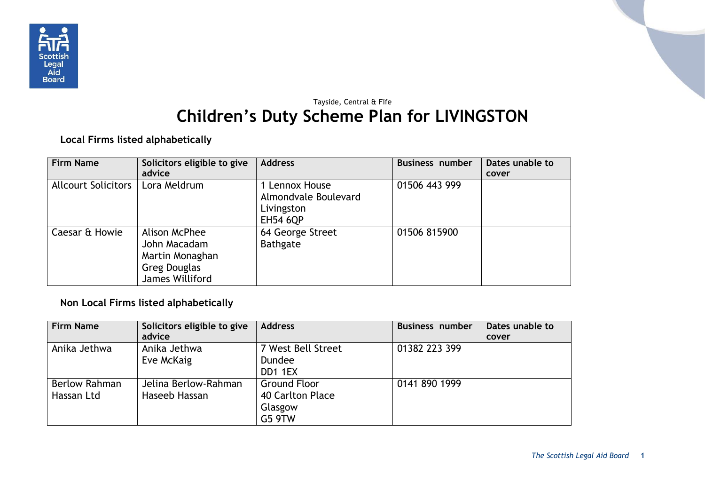

## Tayside, Central & Fife **Children's Duty Scheme Plan for LIVINGSTON**

**Local Firms listed alphabetically**

| <b>Firm Name</b>           | Solicitors eligible to give                                                         | <b>Address</b>                                                          | <b>Business number</b> | Dates unable to |
|----------------------------|-------------------------------------------------------------------------------------|-------------------------------------------------------------------------|------------------------|-----------------|
|                            | advice                                                                              |                                                                         |                        | cover           |
| <b>Allcourt Solicitors</b> | Lora Meldrum                                                                        | 1 Lennox House<br>Almondvale Boulevard<br>Livingston<br><b>EH54 6QP</b> | 01506 443 999          |                 |
| Caesar & Howie             | Alison McPhee<br>John Macadam<br>Martin Monaghan<br>Greg Douglas<br>James Williford | 64 George Street<br><b>Bathgate</b>                                     | 01506 815900           |                 |

**Non Local Firms listed alphabetically**

| <b>Firm Name</b> | Solicitors eligible to give<br>advice | <b>Address</b>      | <b>Business number</b> | Dates unable to<br>cover |
|------------------|---------------------------------------|---------------------|------------------------|--------------------------|
| Anika Jethwa     | Anika Jethwa                          | 7 West Bell Street  | 01382 223 399          |                          |
|                  | Eve McKaig                            | <b>Dundee</b>       |                        |                          |
|                  |                                       | DD1 1EX             |                        |                          |
| Berlow Rahman    | Jelina Berlow-Rahman                  | <b>Ground Floor</b> | 0141 890 1999          |                          |
| Hassan Ltd       | Haseeb Hassan                         | 40 Carlton Place    |                        |                          |
|                  |                                       | Glasgow             |                        |                          |
|                  |                                       | <b>G5 9TW</b>       |                        |                          |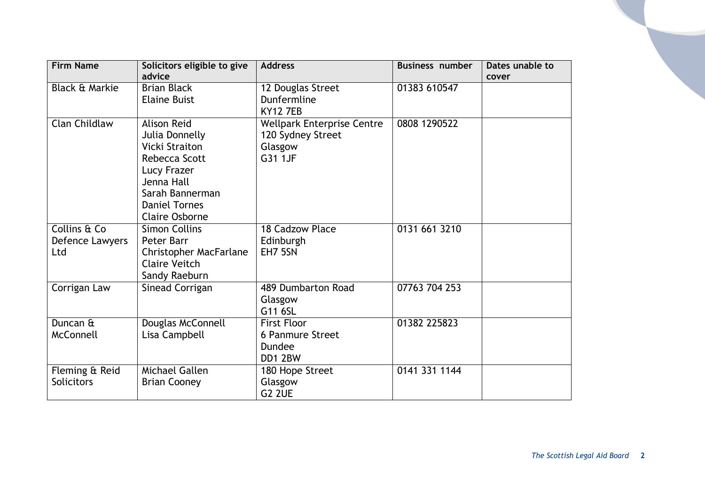| <b>Firm Name</b>          | Solicitors eligible to give | <b>Address</b>                    | <b>Business number</b> | Dates unable to |
|---------------------------|-----------------------------|-----------------------------------|------------------------|-----------------|
|                           | advice                      |                                   |                        | cover           |
| <b>Black &amp; Markie</b> | <b>Brian Black</b>          | 12 Douglas Street                 | 01383 610547           |                 |
|                           | <b>Elaine Buist</b>         | Dunfermline                       |                        |                 |
|                           |                             | <b>KY12 7EB</b>                   |                        |                 |
| Clan Childlaw             | <b>Alison Reid</b>          | <b>Wellpark Enterprise Centre</b> | 0808 1290522           |                 |
|                           | Julia Donnelly              | 120 Sydney Street                 |                        |                 |
|                           | Vicki Straiton              | Glasgow                           |                        |                 |
|                           | Rebecca Scott               | G31 1JF                           |                        |                 |
|                           | Lucy Frazer                 |                                   |                        |                 |
|                           | Jenna Hall                  |                                   |                        |                 |
|                           | Sarah Bannerman             |                                   |                        |                 |
|                           | <b>Daniel Tornes</b>        |                                   |                        |                 |
|                           | <b>Claire Osborne</b>       |                                   |                        |                 |
| Collins & Co              | <b>Simon Collins</b>        | 18 Cadzow Place                   | 0131 661 3210          |                 |
| Defence Lawyers           | Peter Barr                  | Edinburgh                         |                        |                 |
| Ltd                       | Christopher MacFarlane      | EH7 5SN                           |                        |                 |
|                           | <b>Claire Veitch</b>        |                                   |                        |                 |
|                           | Sandy Raeburn               |                                   |                        |                 |
| Corrigan Law              | Sinead Corrigan             | 489 Dumbarton Road                | 07763 704 253          |                 |
|                           |                             | Glasgow                           |                        |                 |
|                           |                             | G11 6SL                           |                        |                 |
| Duncan &                  | Douglas McConnell           | <b>First Floor</b>                | 01382 225823           |                 |
| McConnell                 | Lisa Campbell               | 6 Panmure Street                  |                        |                 |
|                           |                             | Dundee                            |                        |                 |
|                           |                             | DD1 2BW                           |                        |                 |
| Fleming & Reid            | Michael Gallen              | 180 Hope Street                   | 0141 331 1144          |                 |
| <b>Solicitors</b>         | <b>Brian Cooney</b>         | Glasgow                           |                        |                 |
|                           |                             | <b>G2 2UE</b>                     |                        |                 |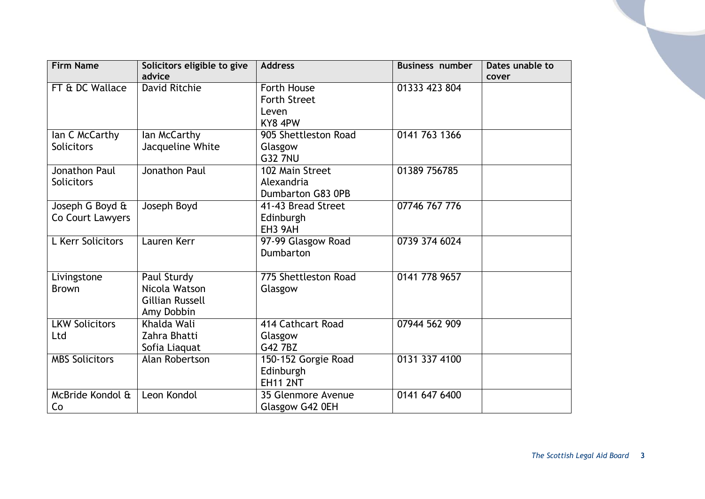| <b>Firm Name</b>      | Solicitors eligible to give | <b>Address</b>       | <b>Business number</b> | Dates unable to |
|-----------------------|-----------------------------|----------------------|------------------------|-----------------|
|                       | advice                      |                      |                        | cover           |
| FT & DC Wallace       | David Ritchie               | Forth House          | 01333 423 804          |                 |
|                       |                             | <b>Forth Street</b>  |                        |                 |
|                       |                             | Leven                |                        |                 |
|                       |                             | KY8 4PW              |                        |                 |
| lan C McCarthy        | lan McCarthy                | 905 Shettleston Road | 0141 763 1366          |                 |
| <b>Solicitors</b>     | Jacqueline White            | Glasgow              |                        |                 |
|                       |                             | <b>G32 7NU</b>       |                        |                 |
| Jonathon Paul         | Jonathon Paul               | 102 Main Street      | 01389 756785           |                 |
| <b>Solicitors</b>     |                             | Alexandria           |                        |                 |
|                       |                             | Dumbarton G83 0PB    |                        |                 |
| Joseph G Boyd &       | Joseph Boyd                 | 41-43 Bread Street   | 07746 767 776          |                 |
| Co Court Lawyers      |                             | Edinburgh            |                        |                 |
|                       |                             | EH <sub>3</sub> 9AH  |                        |                 |
| L Kerr Solicitors     | Lauren Kerr                 | 97-99 Glasgow Road   | 0739 374 6024          |                 |
|                       |                             | Dumbarton            |                        |                 |
|                       |                             |                      |                        |                 |
| Livingstone           | Paul Sturdy                 | 775 Shettleston Road | 0141 778 9657          |                 |
| <b>Brown</b>          | Nicola Watson               | Glasgow              |                        |                 |
|                       | <b>Gillian Russell</b>      |                      |                        |                 |
|                       | Amy Dobbin                  |                      |                        |                 |
| <b>LKW Solicitors</b> | Khalda Wali                 | 414 Cathcart Road    | 07944 562 909          |                 |
| Ltd                   | Zahra Bhatti                | Glasgow              |                        |                 |
|                       | Sofia Liaquat               | G42 7BZ              |                        |                 |
| <b>MBS Solicitors</b> | Alan Robertson              | 150-152 Gorgie Road  | 0131 337 4100          |                 |
|                       |                             | Edinburgh            |                        |                 |
|                       |                             | <b>EH11 2NT</b>      |                        |                 |
| McBride Kondol &      | Leon Kondol                 | 35 Glenmore Avenue   | 0141 647 6400          |                 |
| Co                    |                             | Glasgow G42 0EH      |                        |                 |